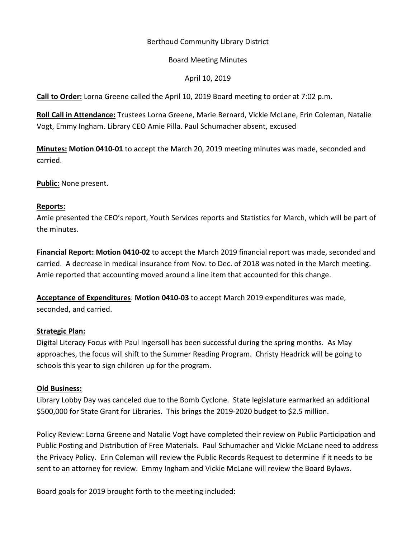## Berthoud Community Library District

### Board Meeting Minutes

# April 10, 2019

**Call to Order:** Lorna Greene called the April 10, 2019 Board meeting to order at 7:02 p.m.

**Roll Call in Attendance:** Trustees Lorna Greene, Marie Bernard, Vickie McLane, Erin Coleman, Natalie Vogt, Emmy Ingham. Library CEO Amie Pilla. Paul Schumacher absent, excused

**Minutes: Motion 0410-01** to accept the March 20, 2019 meeting minutes was made, seconded and carried.

**Public:** None present.

### **Reports:**

Amie presented the CEO's report, Youth Services reports and Statistics for March, which will be part of the minutes.

**Financial Report: Motion 0410-02** to accept the March 2019 financial report was made, seconded and carried. A decrease in medical insurance from Nov. to Dec. of 2018 was noted in the March meeting. Amie reported that accounting moved around a line item that accounted for this change.

**Acceptance of Expenditures**: **Motion 0410-03** to accept March 2019 expenditures was made, seconded, and carried.

### **Strategic Plan:**

Digital Literacy Focus with Paul Ingersoll has been successful during the spring months. As May approaches, the focus will shift to the Summer Reading Program. Christy Headrick will be going to schools this year to sign children up for the program.

### **Old Business:**

Library Lobby Day was canceled due to the Bomb Cyclone. State legislature earmarked an additional \$500,000 for State Grant for Libraries. This brings the 2019-2020 budget to \$2.5 million.

Policy Review: Lorna Greene and Natalie Vogt have completed their review on Public Participation and Public Posting and Distribution of Free Materials. Paul Schumacher and Vickie McLane need to address the Privacy Policy. Erin Coleman will review the Public Records Request to determine if it needs to be sent to an attorney for review. Emmy Ingham and Vickie McLane will review the Board Bylaws.

Board goals for 2019 brought forth to the meeting included: